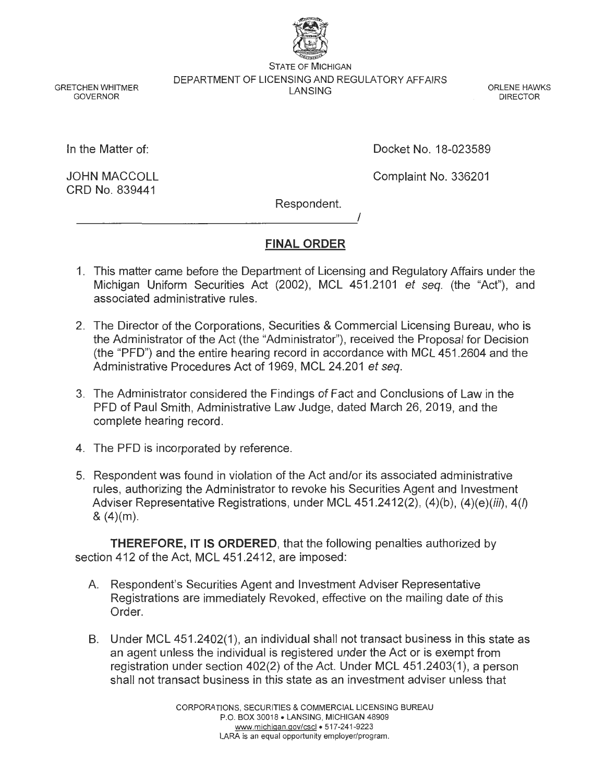

STATE OF MICHIGAN DEPARTMENT OF LICENSING AND REGULATORY AFFAIRS LANSING ORLENE HAWKS DIRECTOR

GRETCHEN WHITMER GOVERNOR

In the Matter of:

JOHN MACCOLL CRD No. 839441

Docket No. 18-023589

Complaint No. 336201

Respondent.

# **FINAL ORDER**

I

- 1. This matter came before the Department of Licensing and Regulatory Affairs under the Michigan Uniform Securities Act (2002), MCL 451.2101 et seq. (the "Act"), and associated administrative rules.
- 2. The Director of the Corporations, Securities & Commercial Licensing Bureau, who is the Administrator of the Act (the "Administrator"), received the Proposal for Decision (the "PFD") and the entire hearing record in accordance with MCL 451.2604 and the Administrative Procedures Act of 1969, MCL 24.201 et seq.
- 3. The Administrator considered the Findings of Fact and Conclusions of Law in the PFD of Paul Smith, Administrative Law Judge, dated March 26, 2019, and the complete hearing record.
- 4. The PFD is incorporated by reference.
- 5. Respondent was found in violation of the Act and/or its associated administrative rules, authorizing the Administrator to revoke his Securities Agent and Investment Adviser Representative Registrations, under MCL  $451.2412(2)$ ,  $(4)(b)$ ,  $(4)(e)(iii)$ ,  $4(h)$  $& (4)(m)$ .

**THEREFORE, IT IS ORDERED,** that the following penalties authorized by section 412 of the Act, MCL 451.2412, are imposed:

- A. Respondent's Securities Agent and Investment Adviser Representative Registrations are immediately Revoked, effective on the mailing date of this Order.
- B. Under MCL 451.2402(1 ), an individual shall not transact business in this state as an agent unless the individual is registered under the Act or is exempt from registration under section 402(2) of the Act. Under MCL 451.2403(1 ), a person shall not transact business in this state as an investment adviser unless that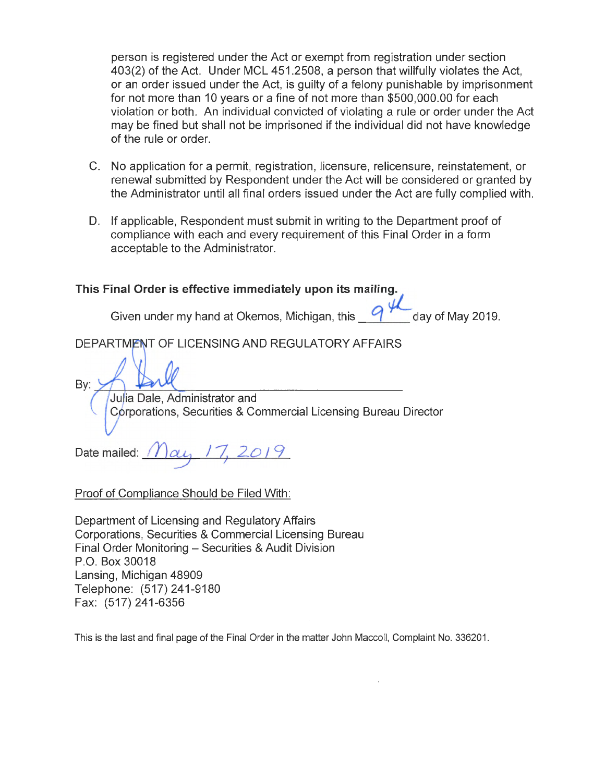person is registered under the Act or exempt from registration under section 403(2) of the Act. Under MCL 451.2508, a person that willfully violates the Act, or an order issued under the Act, is guilty of a felony punishable by imprisonment for not more than 10 years or a fine of not more than \$500,000.00 for each violation or both. An individual convicted of violating a rule or order under the Act may be fined but shall not be imprisoned if the individual did not have knowledge of the rule or order.

- C. No application for a permit, registration, licensure, relicensure, reinstatement, or renewal submitted by Respondent under the Act will be considered or granted by the Administrator until all final orders issued under the Act are fully complied with.
- D. If applicable, Respondent must submit in writing to the Department proof of compliance with each and every requirement of this Final Order in a form acceptable to the Administrator.

# **This Final Order is effective immediately upon its mailing.**

Given under my hand at Okemos, Michigan, this **quality of May 2019.** 

DEPARTMENT OF LICENSING AND REGULATORY AFFAIRS

Bv:

Julia Dale, Administrator and Corporations, Securities & Commercial Licensing Bureau Director

Date mailed: *I J*  $\alpha$ , *I* 7, 2019

Proof of Compliance Should be Filed With:

Department of Licensing and Regulatory Affairs Corporations, Securities & Commercial Licensing Bureau Final Order Monitoring - Securities & Audit Division P.O. Box 30018 Lansing, Michigan 48909 Telephone: (517) 241-9180 Fax: (517) 241-6356

This is the last and final page of the Final Order in the matter John Maccoll, Complaint No. 336201.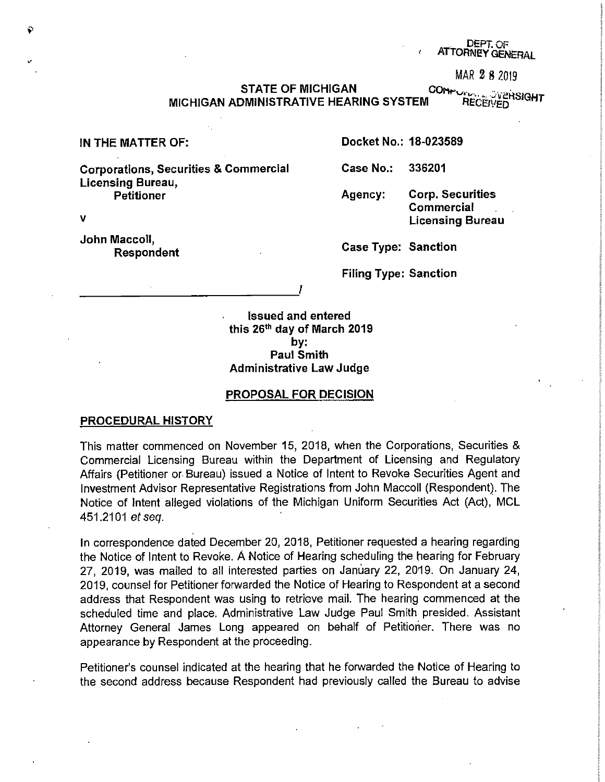#### ert. OF DEPT. OF DEPT. OF DEPT. OF DEPT. OF DEPT. OF DEPT. OF DEPT. OF DEPT. OF DEPT. OF DEPT. OF DEPT. OF DEP<br>Department of the contract of the contract of the contract of the contract of the contract of the contract of t ATTORNEY GENERAL

MAR 2 8 2019

STATE OF MICHIGAN CONFORTING STATE OF MICHIGAN<br>DMINISTRATIVE HEARING SYSTEM RECEIVED MICHIGAN ADMINISTRATIVE HEARING SYSTEM

Corporations, Securities & Commercial Licensing Bureau, Petitioner

---------------~'

V

John Maccoll, Respondent

IN THE MATTER OF: **Docket No.: 18-023589** 

**Case No.: 336201** 

**Agency: Corp. Securities Commercial Licensing Bureau** 

**Case Type: Sanction** 

**Filing Type: Sanction** 

**Issued and entered this 26th day of March 2019 by: Paul Smith Administrative Law Judge** 

#### **PROPOSAL FOR DECISION**

#### **PROCEDURAL HISTORY**

This matter commenced on November 15, 2018, when the Corporations, Securities & Commercial Licensing Bureau within the Department of Licensing and Regulatory Affairs (Petitioner or- Bureau) issued a Notice of Intent to Revoke Securities Agent and Investment Advisor Representative Registrations from John Maccoll (Respondent). The Notice of Intent alleged violations of the Michigan Uniform Securities Act (Act), MCL 451.2101 et seq.

In correspondence dated December 20, 2018, Petitioner requested a hearing regarding the Notice of Intent to Revoke. A Notice of Hearing scheduling the hearing for February 27, 2019, was mailed to all interested parties on January 22, 2019. On January 24, 2019, counsel for Petitioner forwarded the Notice of Hearing to Respondent at a second address that Respondent was using to retrieve mail. The hearing commenced at the scheduled time and place. Administrative Law Judge Paul Smith presided. Assistant Attorney General James Long appeared on behalf of Petitioner. There was no appearance by Respondent at the proceeding.

Petitioner's counsel indicated at the hearing that he forwarded the Notice of Hearing to the second address because Respondent had previously called the Bureau to advise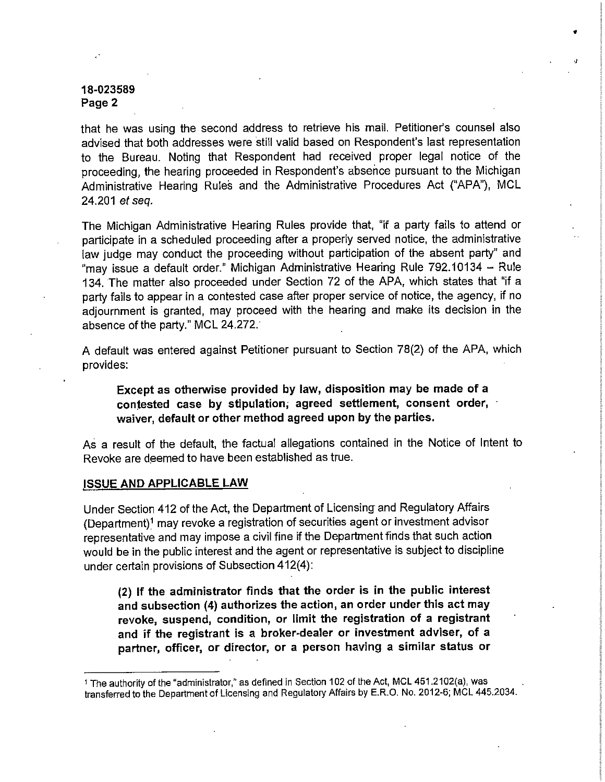that he was using the second address to retrieve his mail. Petitioner's counsel also advised that both addresses were still valid based on Respondent's last representation to the Bureau. Noting that Respondent had received proper legal notice of the proceeding, the hearing proceeded in Respondent's absence pursuant to the Michigan Administrative Hearing Rules and the Administrative Procedures Act ("APA"}, MCL 24.201 et seq.

•

*•J* 

The Michigan Administrative Hearing Rules provide that, "if a party fails to attend or participate in a scheduled proceeding after a properly served notice, the administrative law judge may conduct the proceeding without participation of the absent party" and "may issue a default order." Michigan Administrative Hearing Rule 792.10134 - Rule 134. The matter also proceeded under Section 72 of the APA, which states that "if a party fails to appear in a contested case after proper service of notice, the agency, if no adjournment is granted, may proceed with the hearing and make its decision in the absence of the party." MCL 24.272.

A default was entered against Petitioner pursuant to Section 78(2) of the APA, which provides:

**Except as otherwise provided by law, disposition may be made of a contested case by stipulation; agreed settlement, consent order, waiver, default or other method agreed upon by the parties.** 

As a result of the default, the factual allegations contained in the Notice of Intent to Revoke are deemed to have been established as true.

#### **ISSUE AND APPLICABLE LAW**

Under Section 412 of the Act, the Department of Licensing and Regulatory Affairs (Department)1 may revoke a registration of securities agent or investment advisor representative and may impose a civil fine if the Department finds that such action would be in the public interest and the agent or representative is subject to discipline under certain provisions of Subsection 412(4):

**(2) If the administrator finds that the order is in the public interest and subsection (4) authorizes the action, an order under this act may revoke, suspend, condition, or limit the registration of a registrant and if the registrant is a broker-dealer or investment adviser, of a partner, officer, or director, or a person having a similar status or** 

<sup>1</sup> The authority of the "administrator," as defined in Section 102 of the Act, MCL 451.2102(a), was transferred to the Department of Licensing and Regulatory Affairs by E.R.O. No. 2012-6; MCL 445.2034.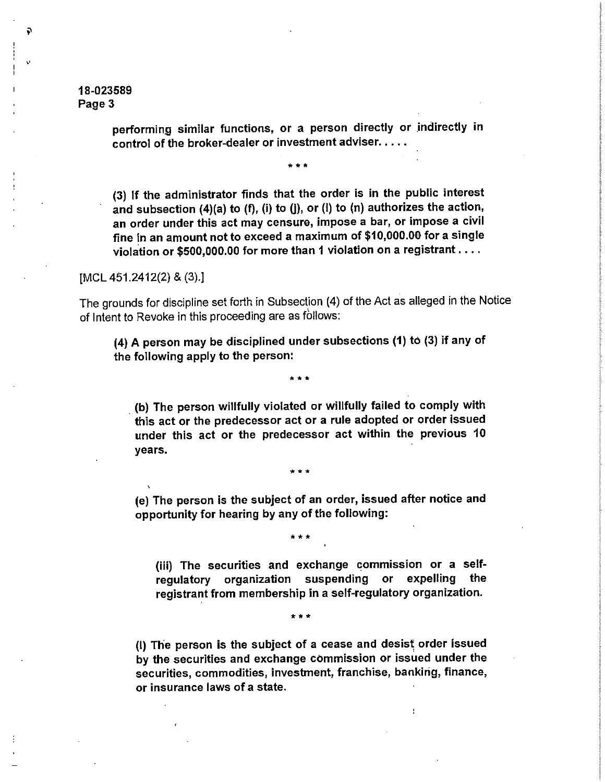,,

Ş.

performing similar functions, or a person directly or indirectly in control of the broker-dealer or investment adviser.....

\*\*\*

(3) If the administrator finds that the order is in the public interest and subsection  $(4)(a)$  to  $(f)$ ,  $(i)$  to  $(j)$ , or  $(i)$  to  $(n)$  authorizes the action, an order under this act may censure, impose a bar, or impose a civil fine in an amount not to exceed a maximum of \$10,000.00 for a single violation or \$500,000.00 for more than 1 violation on a registrant ....

[MCL 451.2412(2) & (3).]

The grounds for discipline set forth in Subsection (4) of the Act as alleged in the Notice of Intent to Revoke in this proceeding are as follows:

(4) A person may be disciplined under subsections (1) to (3) if any of the following apply to the person:

•••

. (b) The person willfully violated or willfully failed to comply with this act or the predecessor act or a rule adopted or order issued under this act or the predecessor act within the previous 10 years.

(e) The person is the subject of an order, issued after notice and opportunity for hearing by any of the following:

\*\*\*

• ••

(iii) The securities and exchange commission or a selfregulatory organization suspending or expelling the registrant from membership in a self-regulatory organization.

•••

(I) The person is the subject of a cease and desist order issued by the securities and exchange commission or issued under the securities, commodities, investment, franchise, banking, finance, or insurance laws of a state.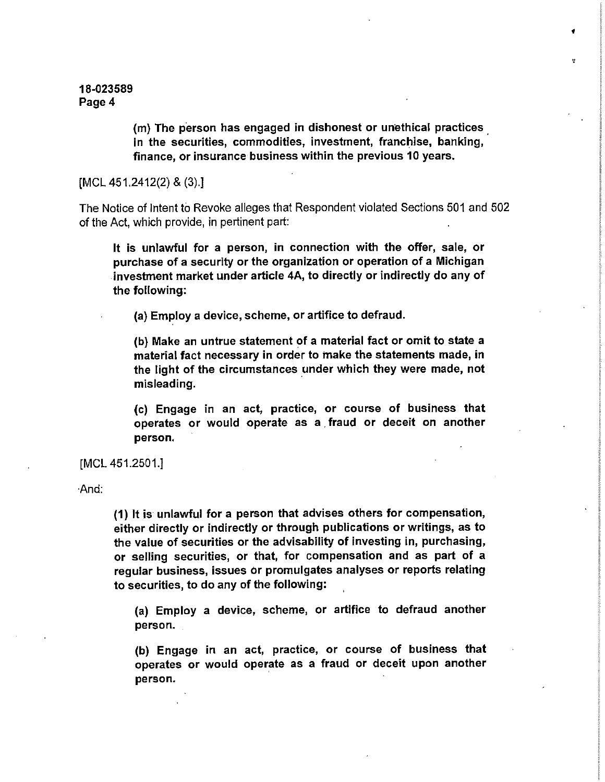> (m) The person has engaged in dishonest or unethical practices in the securities, commodities, investment, franchise, banking, finance, or insurance business within the previous 10 years.

•

[MCL 451.2412(2) & (3).]

The Notice of Intent to Revoke alleges that Respondent violated Sections 501 and 502 of the Act, which provide, in pertinent part:

It is unlawful for a person, in connection with the offer, sale, or purchase of a security or the organization or operation of a Michigan investment market under article 4A, to directly or indirectly do any of the following:

(a) Employ a device, scheme, or artifice to defraud.

 $(b)$  Make an untrue statement of a material fact or omit to state a material fact necessary in order to make the statements made, in the light of the circumstances under which they were made, not misleading.

(c) Engage in an act, practice, or course of business that operates or would operate as a fraud or deceit on another person.

[MCL 451.2501.]

·And;

(1) It is unlawful **for** a person that advises others for compensation, either directly or indirectly or through publications or writings, as to the value of securities or the advisability of investing in, purchasing, or selling securities, or that, for compensation and as part of a regular business, issues or promulgates analyses or reports relating to securities, to do any of the following:

(a) Employ a device, scheme, or artifice to defraud another person.

(b} Engage in an act, practice, or course of business that operates or would operate as a fraud or deceit upon another person.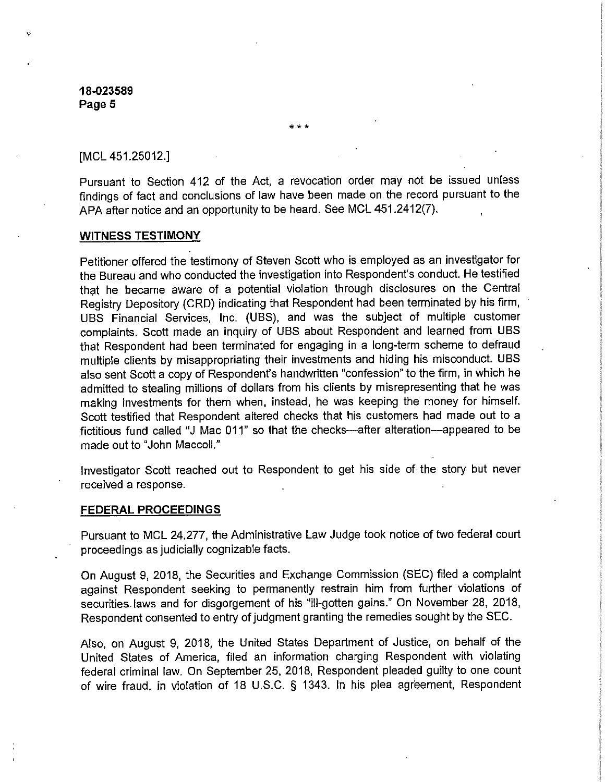[MCL 451.25012.]

Pursuant to Section 412 of the Act, a revocation order may not be issued unless findings of fact and conclusions of law have been made on the record pursuant to the APA after notice and an opportunity to be heard. See MCL 451.2412(7).

\*\*\*

#### **WITNESS TESTIMONY**

Petitioner offered the testimony of Steven Scott who is employed as an investigator for the Bureau and who conducted the investigation into Respondent's conduct. He testified that he became aware of a potential violation through disclosures on the Central Registry Depository (CRD) indicating that Respondent had been terminated by his firm, UBS Financial Services, Inc. (UBS), and was the subject of multiple customer complaints. Scott made an inquiry of UBS about Respondent and learned from UBS that Respondent had been terminated for engaging in a long-term scheme to defraud multiple clients by misappropriating their investments and hiding his misconduct. UBS also sent Scott a copy of Respondent's handwritten "confession" to the firm, in which he admitted to stealing millions of dollars from his clients by misrepresenting that he was making investments for them when, instead, he was keeping the money for himself. Scott testified that Respondent altered checks that his customers had made out to a fictitious fund called "J Mac 011" so that the checks-after alteration-appeared to be made out to "John Maccoll."

Investigator Scott reached out to Respondent to get his side of the story but never received a response.

#### **FEDERAL PROCEEDINGS**

Pursuant to MCL 24.277, the Administrative Law Judge took notice of two federal court proceedings as judicially cognizable facts.

On August 9, 2018, the Securities and Exchange Commission (SEC) filed a complaint against Respondent seeking to permanently restrain him from further violations of securities. laws and for disgorgement of his "ill-gotten gains." On November 28, 2018, Respondent consented to entry of judgment granting the remedies sought by the SEC.

Also, on August 9, 2018, the United States Department of Justice, on behalf of the United States of America, filed an information charging Respondent with violating federal criminal law. On September 25, 2018, Respondent pleaded guilty to one count of wire fraud, in violation of 18 U.S.C. § 1343. In his plea agreement, Respondent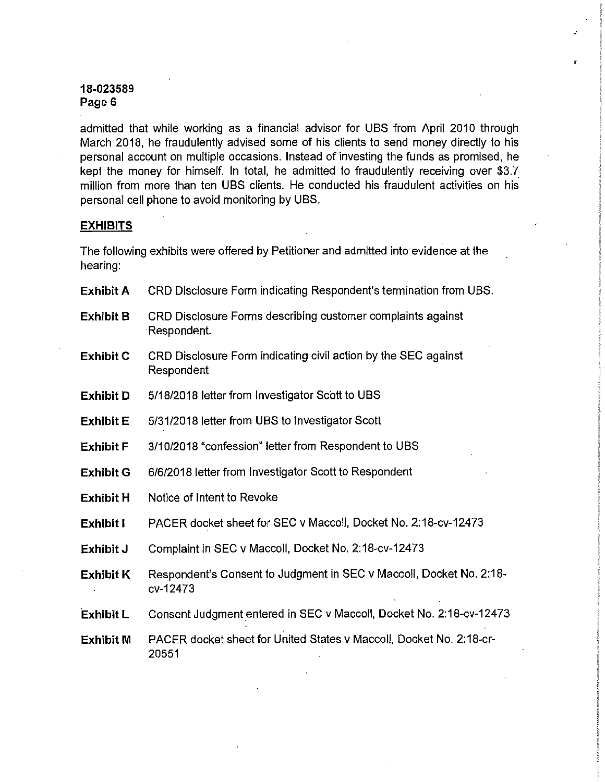admitted that while working as a financial advisor for UBS from April 2010 through March 2018, he fraudulently advised some of his clients to send money directly to his personal account on multiple occasions. Instead of investing the funds as promised, he kept the money for himself. In total, he admitted to fraudulently receiving over \$3.7\_ million from more than ten UBS clients. He conducted his fraudulent activities on his personal cell phone to avoid monitoring by UBS.

*J* 

## **EXHIBITS**

The following exhibits were offered by Petitioner and admitted into evidence at the hearing:

| <b>Exhibit A</b> | CRD Disclosure Form indicating Respondent's termination from UBS.               |
|------------------|---------------------------------------------------------------------------------|
| <b>Exhibit B</b> | CRD Disclosure Forms describing customer complaints against<br>:Respondent.     |
| <b>Exhibit C</b> | CRD Disclosure Form indicating civil action by the SEC against<br>Respondent    |
| <b>Exhibit D</b> | 5/18/2018 letter from Investigator Scott to UBS                                 |
| <b>Exhibit E</b> | 5/31/2018 letter from UBS to Investigator Scott                                 |
| <b>Exhibit F</b> | 3/10/2018 "confession" letter from Respondent to UBS                            |
| <b>Exhibit G</b> | 6/6/2018 letter from Investigator Scott to Respondent                           |
| <b>Exhibit H</b> | Notice of Intent to Revoke                                                      |
| <b>Exhibit I</b> | PACER docket sheet for SEC v Maccoll, Docket No. 2:18-cv-12473                  |
| Exhibit J        | Complaint in SEC v Maccoll, Docket No. 2:18-cv-12473                            |
| <b>Exhibit K</b> | Respondent's Consent to Judgment in SEC v Maccoll, Docket No. 2:18-<br>cv-12473 |
| Exhibit L        | Consent Judgment entered in SEC v Maccoll, Docket No. 2:18-cv-12473             |
| <b>Exhibit M</b> | PACER docket sheet for United States v Maccoll, Docket No. 2:18-cr-<br>20551    |
|                  |                                                                                 |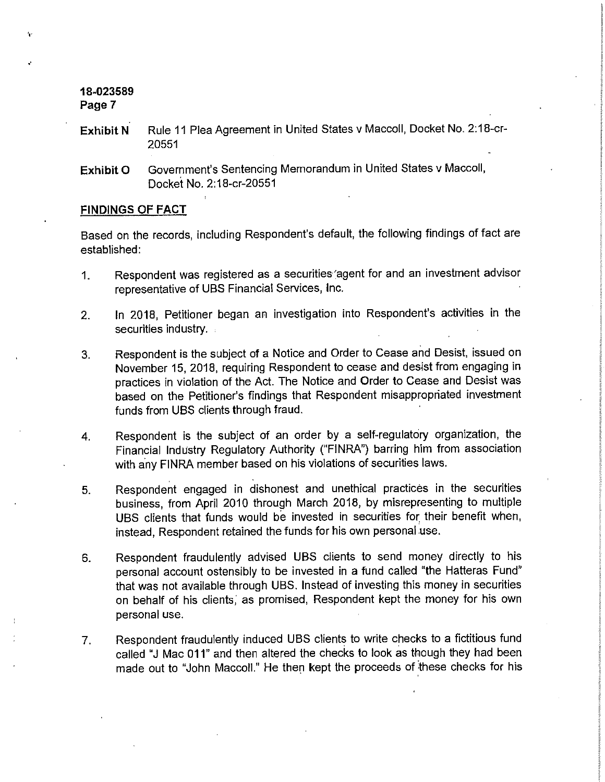',·

- **Exhibit N** Rule 11 Plea Agreement in United States v Maccoll, Docket No. 2:18-cr-20551
- **Exhibit O** Government's Sentencing Memorandum in United States v Maccoll, Docket No. 2:18-cr-20551

#### **FINDINGS OF FACT**

Based on the records, including Respondent's default, the following findings of fact are established:

- 1. Respondent was registered as a securities'agent for and an investment advisor representative of UBS Financial Services, Inc.
- 2. In 2018, Petitioner began an investigation into Respondent's activities in the securities industry.
- 3. Respondent is the subject of a Notice and Order to Cease and Desist, issued on November 15, 2018, requiring Respondent **to** cease and desist from engaging in practices in violation of the Act. The Notice and Order to Cease and Desist was based on the Petitioner's findings that Respondent misappropriated investment funds from UBS clients through fraud.
- 4, Respondent is the subject of an order by a self-regulatory organization, the Financial Industry Regulatory Authority ("FINRA") barring him from association with any FINRA member based on his violations of securities laws,
- 5. Respondent engaged in dishonest and unethical practices in the securities business, from April 2010 through March 2018, by misrepresenting to multiple UBS clients that funds would be invested in securities for; their benefit when, instead, Respondent retained the funds for his own personal use.
- 6. Respondent fraudulently advised UBS clients to send money directly to his personal account ostensibly to be invested in a fund called "the Hatteras Fund" that was not available through UBS. Instead of investing this money in securities on behalf of his clients; as promised, Respondent kept the money for his own personal use.
- 7. Respondent fraudulently induced UBS clients to write checks to a fictitious fund called "J Mac 011" and then altered the checks to look as though they had been made out to "John Maccoll." He then kept the proceeds of these checks for his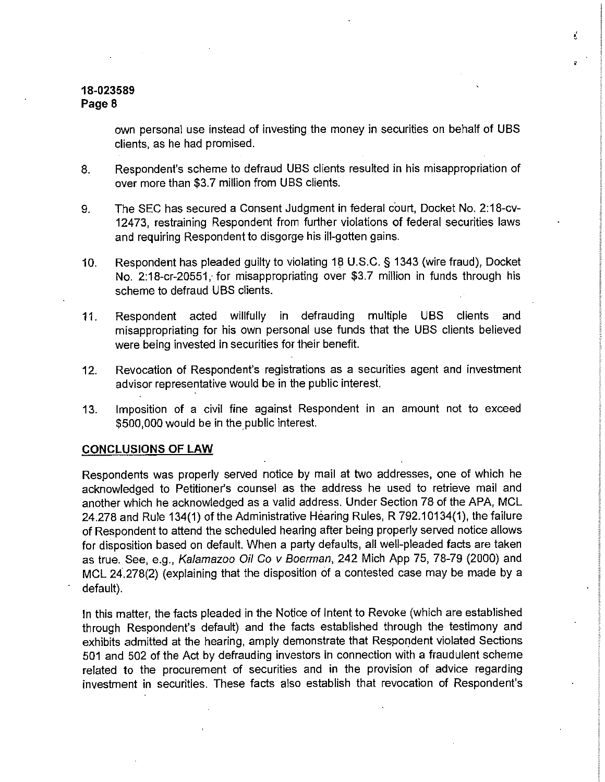own personal use instead of investing the money in securities on behalf of UBS clients, as he had promised.

€

- 8. Respondent's scheme to defraud UBS clients resulted in his misappropriation of over more than \$3.7 million from UBS clients.
- 9. The SEC has secured a Consent Judgment in federal court, Docket No. 2:18-cv-12473, restraining Respondent from further violations of federal securities laws and requiring Respondent to disgorge his ill-gotten gains.
- 10. Respondent has pleaded guilty to violating 18 U.S.C. § 1343 (wire fraud), Docket No. 2:18-cr-20551, for misappropriating over \$3.7 million in funds through his scheme to defraud UBS clients.
- 11. Respondent acted willfully in defrauding multiple UBS clients and misappropriating for his own personal use funds that the UBS clients believed were being invested in securities for their benefit.
- 12. Revocation of Respondent's registrations as a securities agent and investment advisor representative would be in the public interest.
- 13. Imposition of a civil fine against Respondent in an amount not to exceed \$500,000 would be in the public interest.

#### **CONCLUSIONS OF LAW**

Respondents was properly served notice by mail at two addresses, one of which he acknowledged to Petitioner's counsel as the address he used to retrieve mail and another which he acknowledged as a valid address. Under Section 78 of the APA, MCL 24.278 and Rule 134(1) of the Administrative Hearing Rules, R 792.10134(1), the failure of Respondent to attend the scheduled hearing after being properly served notice allows for disposition based on default. When a party defaults, all well-pleaded facts are taken as true. See, e.g., Kalamazoo Oil Co v Boerman, 242 Mich App 75, 78-79 (2000) and MCL 24,278(2) (explaining that the disposition of a contested case may be made by a default).

In this matter, the facts pleaded in the Notice of Intent to Revoke (which are established through Respondent's default) and the facts established through the testimony and exhibits admitted at the hearing, amply demonstrate that Respondent violated Sections 501 and 502 of the Act by defrauding investors in connection with a fraudulent scheme related to the procurement of securities and in the provision of advice regarding investment in securities. These facts also establish that revocation of Respondent's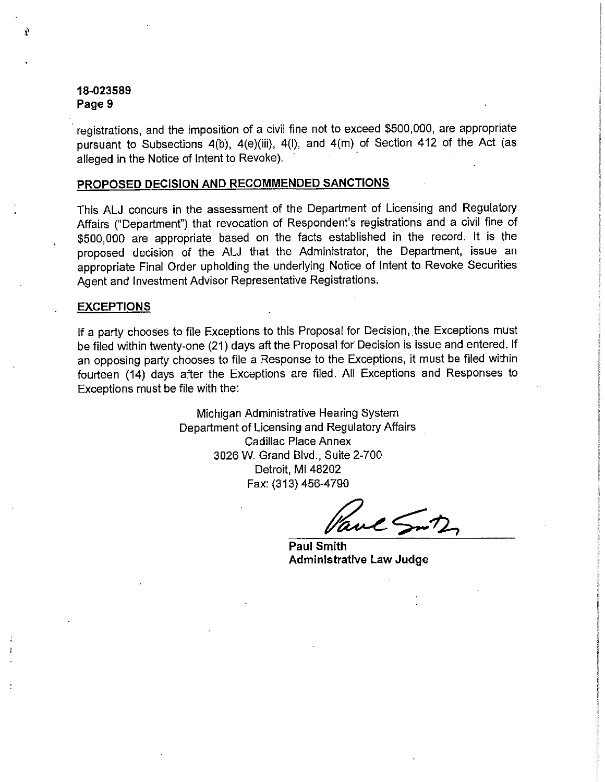,, **-1** 

· registrations, and the imposition of a civil fine not to exceed \$500,000, are appropriate pursuant to Subsections 4(b), 4(e)(iii), 4(l), and 4(m) of Section 412 of the Act (as alleged in the Notice of Intent to Revoke).

## **PROPOSED DECISION AND RECOMMENDED SANCTIONS**

This ALJ concurs in the assessment of the Department of Licensing and Regulatory Affairs ("Department") that revocation of Respondent's registrations and a civil fine of \$500,000 are appropriate based on the facts established in the record. It is the proposed decision of the ALJ that the Administrator, the Department, issue an appropriate Final Order upholding the underlying Notice of Intent to Revoke Securities Agent and Investment Advisor Representative Registrations.

#### **EXCEPTIONS**

If a party chooses to file Exceptions to this Proposal for Decision, the Exceptions must be filed within twenty-one (21} days aft the Proposal for Decision is issue and entered. If an opposing party chooses to file a Response to the Exceptions, it must be filed within fourteen (14) days after the Exceptions are filed. All Exceptions and Responses to Exceptions must be file with the:

> Michigan Administrative Hearing System Department of Licensing and Regulatory Affairs Cadillac Place Annex 3026 W. Grand Blvd., Suite 2-700 Detroit, Ml 48202 Fax: (313) 456-4790

 $uc \leq nD$ 

**Paul Smith Administrative Law Judge**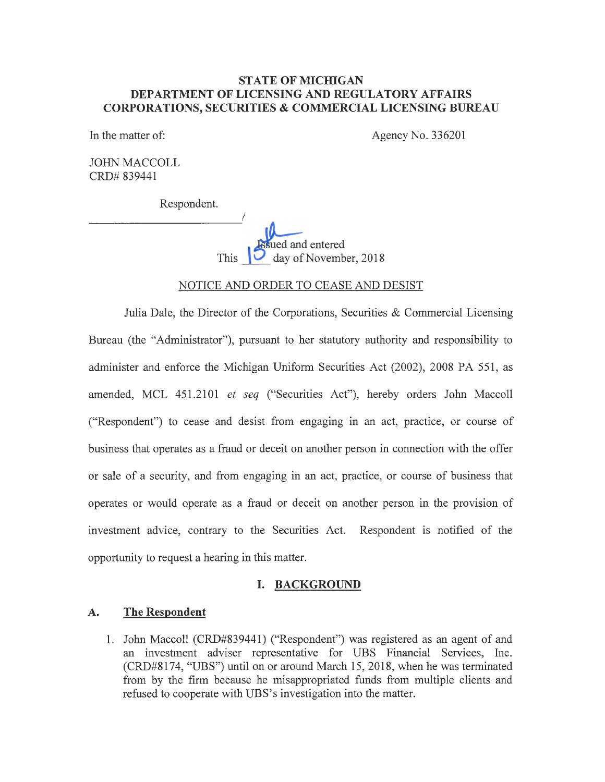## **STATE OF MICHIGAN DEPARTMENT OF LICENSING AND REGULATORY AFFAIRS CORPORA TIO NS, SECURITIES & COMMERCIAL LICENSING BUREAU**

In the matter of: Agency No. 336201

JOHN MACCOLL CRD# 839441

Respondent.

I  $\mathbf{u}$ sued and entered This  $\bigcup$  day of November, 2018

## NOTICE AND ORDER TO CEASE AND DESIST

Julia Dale, the Director of the Corporations, Securities & Commercial Licensing Bureau (the "Administrator"), pursuant to her statutory authority and responsibility to administer and enforce the Michigan Uniform Securities Act (2002), 2008 PA 551, as amended, MCL 451.2101 *et seq* ("Securities Act"), hereby orders John Maccoll ("Respondent") to cease and desist from engaging in an act, practice, or course of business that operates as a fraud or deceit on another person in connection with the offer or sale of a security, and from engaging in an act, practice, or course of business that operates or would operate as a fraud or deceit on another person in the provision of investment advice, contrary to the Securities Act. Respondent is notified of the opportunity to request a hearing in this matter.

## **I. BACKGROUND**

#### **A. The Respondent**

1. John Maccoll (CRD#839441) ("Respondent") was registered as an agent of and an investment adviser representative for UBS Financial Services, Inc. (CRD#8174, "UBS") until on or around March 15, 2018, when he was terminated from by the firm because he misappropriated funds from multiple clients and refused to cooperate with UBS's investigation into the matter.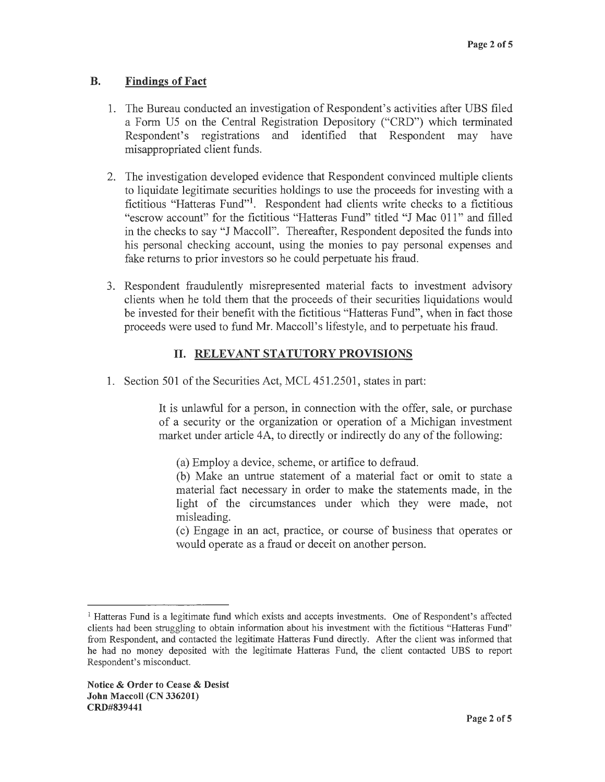#### **B. Findings of Fact**

- 1. The Bureau conducted an investigation of Respondent's activities after UBS filed a Form U5 on the Central Registration Depository ("CRD") which terminated Respondent's registrations and identified that Respondent may have misappropriated client funds.
- 2. The investigation developed evidence that Respondent convinced multiple clients to liquidate legitimate securities holdings to use the proceeds for investing with a fictitious "Hatteras Fund"<sup>1</sup>. Respondent had clients write checks to a fictitious "escrow account" for the fictitious "Hatteras Fund" titled "J Mac 011" and filled in the checks to say "J Maccoll". Thereafter, Respondent deposited the funds into his personal checking account, using the monies to pay personal expenses and fake returns to prior investors so he could perpetuate his fraud.
- 3. Respondent fraudulently misrepresented material facts to investment advisory clients when he told them that the proceeds of their securities liquidations would be invested for their benefit with the fictitious "Hatteras Fund", when in fact those proceeds were used to fund Mr. Maccoll's lifestyle, and to perpetuate his fraud.

# II. **RELEVANT STATUTORY PROVISIONS**

1. Section 501 of the Securities Act, MCL 451.2501, states in part:

It is unlawful for a person, in connection with the offer, sale, or purchase of a security or the organization or operation of a Michigan investment market under article 4A, to directly or indirectly do any of the following:

(a) Employ a device, scheme, or artifice to defraud.

(b) Make an untrue statement of a material fact or omit to state a material fact necessary in order to make the statements made, in the light of the circumstances under which they were made, not misleading.

( c) Engage in an act, practice, or course of business that operates or would operate as a fraud or deceit on another person.

<sup>&</sup>lt;sup>1</sup> Hatteras Fund is a legitimate fund which exists and accepts investments. One of Respondent's affected clients had been struggling to obtain information about his investment with the fictitious "Hatteras Fund" from Respondent, and contacted the legitimate Hatteras Fund directly. After the client was informed that he had no money deposited with the legitimate Hatteras Fund, the client contacted UBS to report Respondent's misconduct.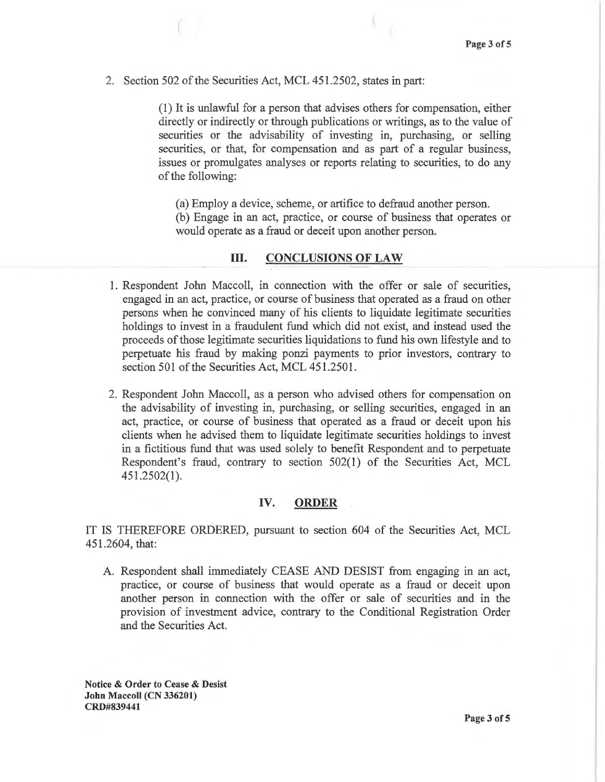2. Section 502 of the Securities Act, MCL 451.2502, states in part:

(1) It is unlawful for a person that advises others for compensation, either directly or indirectly or through publications or writings, as to the value of securities or the advisability of investing in, purchasing, or selling securities, or that, for compensation and as part of a regular business, issues or promulgates analyses or reports relating to securities, to do any of the following:

(a) Employ a device, scheme, or artifice to defraud another person.

(b) Engage in an act, practice, or course of business that operates or would operate as a fraud or deceit upon another person.

## III. **CONCLUSIONS OF LAW**

- 1. Respondent John Maccoll, in connection with the offer or sale of securities, engaged in an act, practice, or course of business that operated as a fraud on other persons when he convinced many of his clients to liquidate legitimate securities holdings to invest in a fraudulent fund which did not exist, and instead used the proceeds of those legitimate securities liquidations to fund his own lifestyle and to perpetuate his fraud by making ponzi payments to prior investors, contrary to section 501 of the Securities Act, MCL 451.2501.
- 2. Respondent John Maccoll, as a person who advised others for compensation on the advisability of investing in, purchasing, or selling securities, engaged in an act, practice, or course of business that operated as a fraud or deceit upon his clients when he advised them to liquidate legitimate securities holdings to invest in a fictitious fund that was used solely to benefit Respondent and to perpetuate Respondent's fraud, contrary to section 502(1) of the Securities Act, MCL 451.2502(1 ).

## **IV. ORDER**

IT IS THEREFORE ORDERED, pursuant to section 604 of the Securities Act, MCL 451.2604, that:

A. Respondent shall immediately CEASE AND DESIST from engaging in an act, practice, or course of business that would operate as a fraud or deceit upon another person in connection with the offer or sale of securities and in the provision of investment advice, contrary to the Conditional Registration Order and the Securities Act.

**Notice** & **Order to Cease** & **Desist John Maccoll (CN 336201) CRD#839441**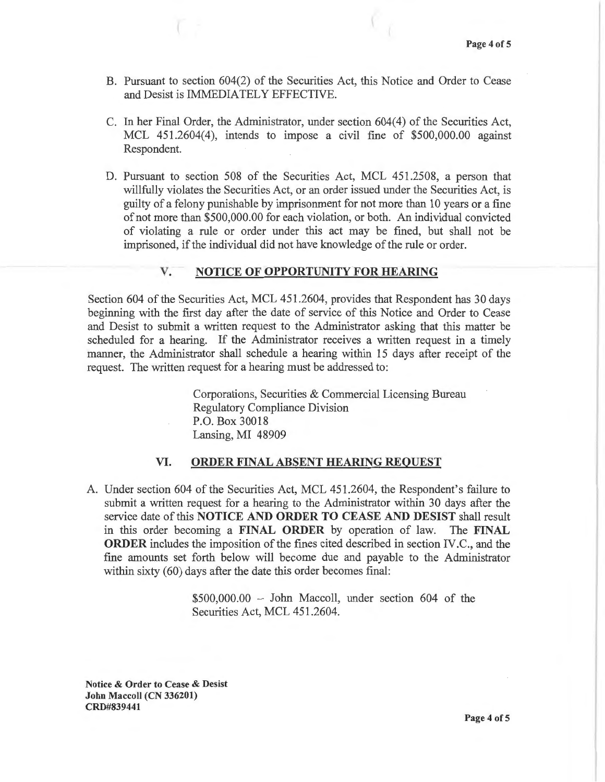- B. Pursuant to section 604(2) of the Securities Act, this Notice and Order to Cease and Desist is IMMEDIATELY EFFECTIVE.
- C. In her Final Order, the Administrator, under section 604(4) of the Securities Act, MCL 451.2604(4), intends to impose a civil fine of \$500,000.00 against Respondent.
- D. Pursuant to section 508 of the Securities Act, MCL 451.2508, a person that willfully violates the Securities Act, or an order issued under the Securities Act, is guilty of a felony punishable by imprisonment for not more than 10 years or a fine of not more than \$500,000.00 for each violation, or both. An individual convicted of violating a rule or order under this act may be fined, but shall not be imprisoned, if the individual did not have knowledge of the rule or order.

#### **V.** - **NOTICE OF OPPORTUNITY FOR HEARING**

Section 604 of the Securities Act, MCL 451.2604, provides that Respondent has 30 days beginning with the first day after the date of service of this Notice and Order to Cease and Desist to submit a written request to the Administrator asking that this matter be scheduled for a hearing. If the Administrator receives a written request in a timely manner, the Administrator shall schedule a hearing within 15 days after receipt of the request. The written request for a hearing must be addressed to:

> Corporations, Securities & Commercial Licensing Bureau Regulatory Compliance Division P.O. Box 30018 Lansing, MI 48909

#### **VI. ORDER FINAL ABSENT HEARING REQUEST**

A. Under section 604 of the Securities Act, MCL 451.2604, the Respondent's failure to submit a written request for a hearing to the Administrator within 30 days after the service date of this **NOTICE AND ORDER TO CEASE AND DESIST** shall result in this order becoming a **FINAL ORDER** by operation of law. The **FINAL ORDER** includes the imposition of the fines cited described in section IV .C., and the fine amounts set forth below will become due and payable to the Administrator within sixty (60) days after the date this order becomes final:

> $$500,000.00 - John Maccoll, under section 604 of the$ Securities Act, MCL 451.2604.

**Notice** & **Order to Cease** & **Desist John Maccoll (CN 336201) CRD#839441**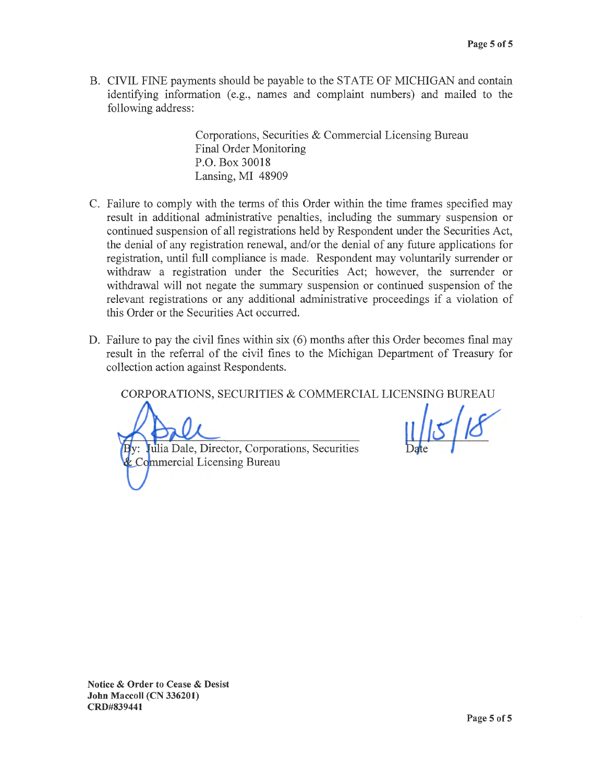B. CIVIL FINE payments should be payable to the STATE OF MICHIGAN and contain identifying information (e.g., names and complaint numbers) and mailed to the following address:

> Corporations, Securities & Commercial Licensing Bureau Final Order Monitoring P.O. Box 30018 Lansing, MI 48909

- C. Failure to comply with the terms of this Order within the time frames specified may result in additional administrative penalties, including the summary suspension or continued suspension of all registrations held by Respondent under the Securities Act, the denial of any registration renewal, and/or the denial of any future applications for registration, until full compliance is made. Respondent may voluntarily surrender or withdraw a registration under the Securities Act; however, the surrender or withdrawal will not negate the summary suspension or continued suspension of the relevant registrations or any additional administrative proceedings if a violation of this Order or the Securities Act occurred.
- D. Failure to pay the civil fines within six (6) months after this Order becomes final may result in the referral of the civil fines to the Michigan Department of Treasury for collection action against Respondents.

CORPORATIONS, SECURITIES & COMMERCIAL LICENSING BUREAU

By: Julia Dale, Director, Corporations, Securities **& Co**mmercial Licensing Bureau

**Notice** & **Order to Cease** & **Desist John Maccoll (CN 336201) CRD#839441**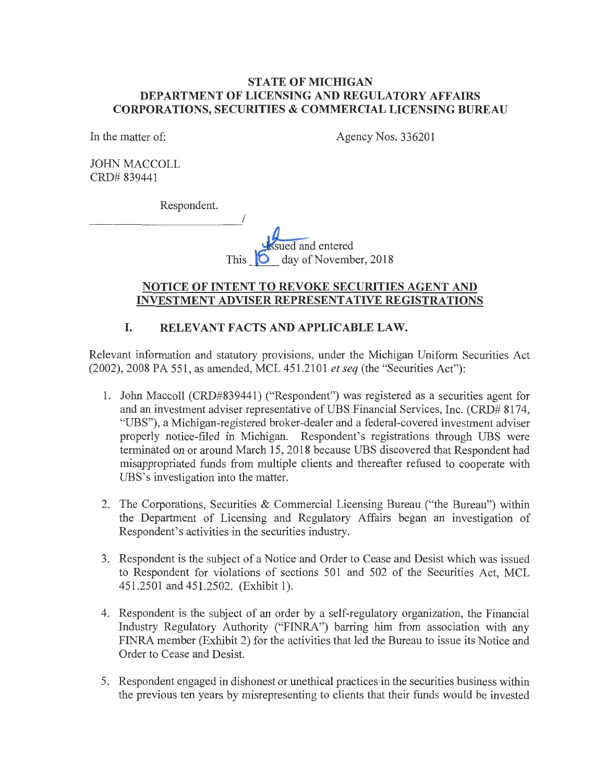## **STATE OF MICHIGAN DEPARTMENT OF LICENSING AND REGULATORY AFFAIRS CORPORATIONS, SECURITIES & COMMERCIAL LICENSING BUREAU**

In the matter of:

Agency Nos. 336201

JOHN MACCOLL CRD# 839441

Respondent.

I sued and entered day of November, 2018

## **NOTICE OF INTENT TO REVOKE SECURITIES AGENT AND INVESTMENT ADVISER REPRESENTATIVE REGISTRATIONS**

# **I. RELEVANT FACTS AND APPLICABLE LAW.**

Relevant information and statutory provisions, under the Michigan Uniform Securities Act (2002), 2008 PA 551, as amended, MCL 451.2101 *et seq* (the "Securities Act"):

- 1. John Maccoll (CRD#839441) ("Respondent") was registered as a securities agent for and an investment adviser representative of UBS Financial Services, Inc. (CRD# 8174, "UBS"), a Michigan-registered broker-dealer and a federal-covered investment adviser properly notice-filed in Michigan. Respondent's registrations through UBS were terminated on or around March 15, 2018 because UBS discovered that Respondent had misappropriated funds from multiple clients and thereafter refused to cooperate with UBS's investigation into the matter.
- 2. The Corporations, Securities & Commercial Licensing Bureau ("the Bureau") within the Department of Licensing and Regulatory Affairs began an investigation of Respondent's activities in the securities industry.
- 3. Respondent is the subject of a Notice and Order to Cease and Desist which was issued to Respondent for violations of sections 501 and 502 of the Securities Act, MCL 451.2501 and 451.2502. (Exhibit 1).
- 4. Respondent is the subject of an order by a self-regulatory organization, the Financial Industry Regulatory Authority ("FINRA") barring him from association with any FINRA member (Exhibit 2) for the activities that led the Bureau to issue its Notice and Order to Cease and Desist.
- 5. Respondent engaged in dishonest or unethical practices in the securities business within the previous ten years by misrepresenting to clients that their funds would be invested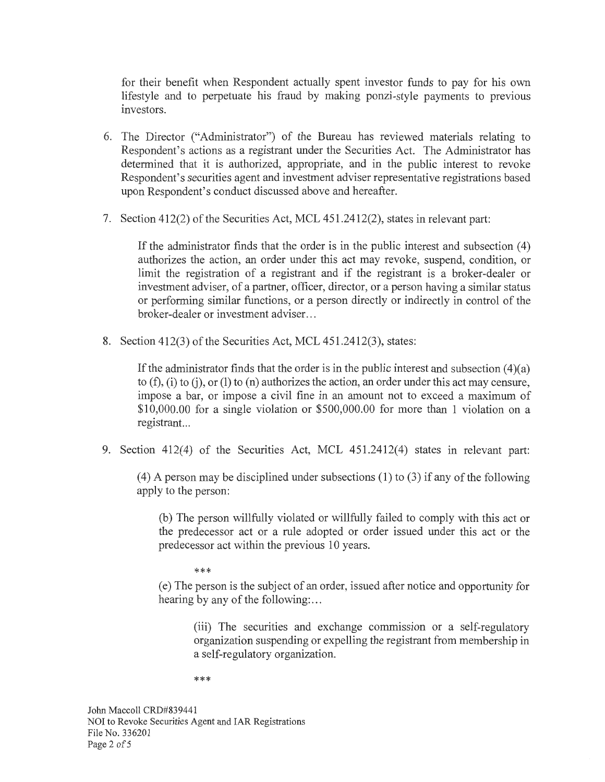for their benefit when Respondent actually spent investor funds to pay for his own lifestyle and to perpetuate his fraud by making ponzi-style payments to previous investors.

- 6. The Director ("Administrator") of the Bureau has reviewed materials relating to Respondent's actions as a registrant under the Securities Act. The Administrator has determined that it is authorized, appropriate, and in the public interest to revoke Respondent's securities agent and investment adviser representative registrations based upon Respondent's conduct discussed above and hereafter.
- 7. Section 412(2) of the Securities Act, MCL 451.2412(2), states in relevant part:

If the administrator finds that the order is in the public interest and subsection ( 4) authorizes the action, an order under this act may revoke, suspend, condition, or limit the registration of a registrant and if the registrant is a broker-dealer orinvestment adviser, of a partner, officer, director, or a person having a similar status or performing similar functions, or a person directly or indirectly in control of the broker-dealer or investment adviser. ..

8. Section 412(3) of the Securities Act, MCL 451.2412(3), states:

If the administrator finds that the order is in the public interest and subsection  $(4)(a)$ to  $(f)$ ,  $(i)$  to  $(i)$ , or  $(l)$  to  $(n)$  authorizes the action, an order under this act may censure, impose a bar, or impose a civil fine in an amount not to exceed a maximum of \$10,000.00 for a single violation or \$500,000.00 for more than 1 violation on a registrant...

9. Section 412(4) of the Securities Act, MCL 451.2412(4) states in relevant part:

 $(4)$  A person may be disciplined under subsections  $(1)$  to  $(3)$  if any of the following apply to the person:

(b) The person willfully violated or willfully failed to comply with this act or the predecessor act or a rule adopted or order issued under this act or the predecessor act within the previous 10 years.

\*\*\*

( e) The person is the subject of an order, issued after notice and opportunity for hearing by any of the following:...

(iii) The securities and exchange commission or a self-regulatory organization suspending or expelling the registrant from membership in a self-regulatory organization.

\*\*\*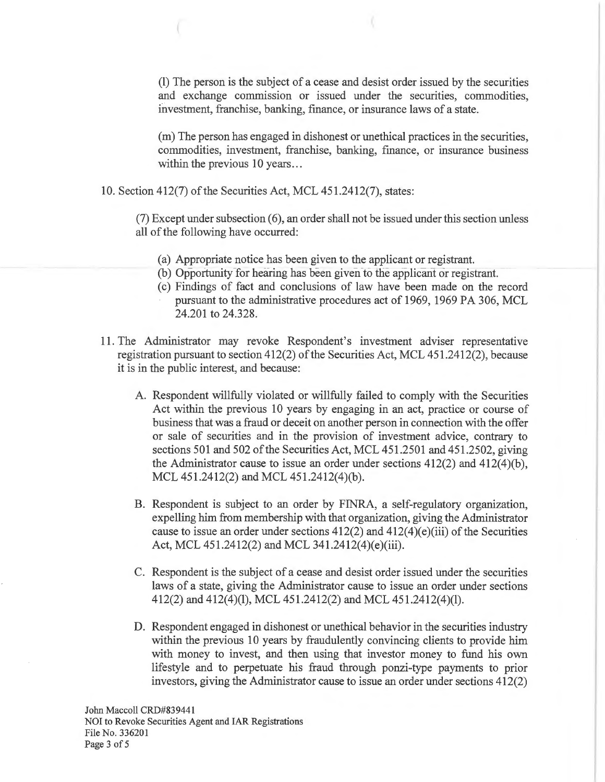(1) The person is the subject of a cease and desist order issued by the securities and exchange commission or issued under the securities, commodities, investment, franchise, banking, finance, or insurance laws of a state.

(m) The person has engaged in dishonest or unethical practices in the securities, commodities, investment, franchise, banking, finance, or insurance business within the previous 10 years...

10. Section 412(7) of the Securities Act, MCL 451.2412(7), states:

 $(7)$  Except under subsection  $(6)$ , an order shall not be issued under this section unless all of the following have occurred:

- (a) Appropriate notice has been given to the applicant or registrant.
- (b) Opportunity for hearing has been given to the applicant or registrant.
- ( c) Findings of fact and conclusions of law have been made on the record pursuant to the administrative procedures act of 1969, 1969 PA 306, MCL 24.201 to 24.328.
- 11. The Administrator may revoke Respondent's investment adviser representative registration pursuant to section 412(2) of the Securities Act, MCL 451.2412(2), because it is in the public interest, and because:
	- A. Respondent willfully violated or willfully failed to comply with the Securities Act within the previous 10 years by engaging in an act, practice or course of business that was a fraud or deceit on another person in connection with the offer or sale of securities and in the provision of investment advice, contrary to sections 501 and 502 of the Securities Act, MCL 451.2501 and 451.2502, giving the Administrator cause to issue an order under sections 412(2) and 412(4)(b), MCL 451.2412(2) and MCL 451.2412(4)(b).
	- B. Respondent is subject to an order by FINRA, a self-regulatory organization, expelling him from membership with that organization, giving the Administrator cause to issue an order under sections 412(2) and 412(4)(e)(iii) of the Securities Act, MCL 451.2412(2) and MCL 341.2412(4)(e)(iii).
	- C. Respondent is the subject of a cease and desist order issued under the securities laws of a state, giving the Administrator cause to issue an order under sections 412(2) and 412(4)(1), MCL 451.2412(2) and MCL 451.2412(4)(1).
	- D. Respondent engaged in dishonest or unethical behavior in the securities industry within the previous 10 years by fraudulently convincing clients to provide him with money to invest, and then using that investor money to fund his own lifestyle and to perpetuate his fraud through ponzi-type payments to prior investors, giving the Administrator cause to issue an order under sections 412(2)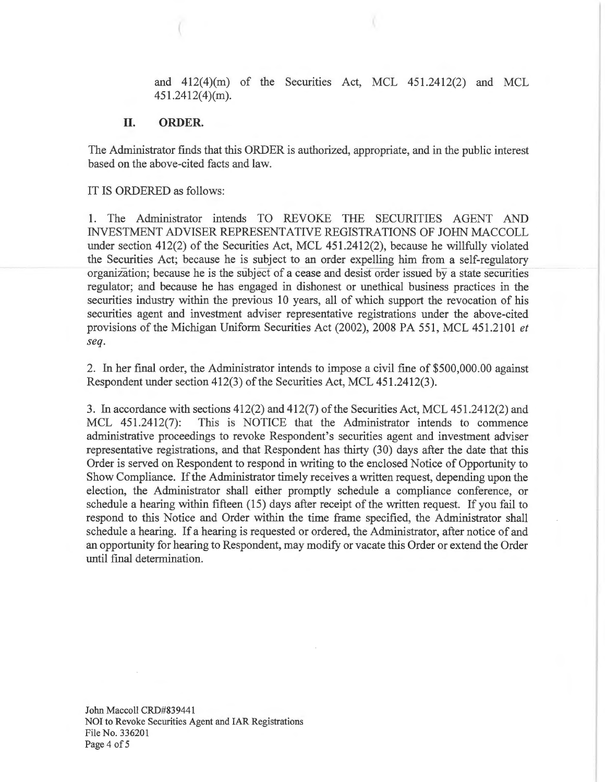and 412(4)(m) of the Securities Act, MCL 451.2412(2) and MCL 451.2412(4)(m).

#### **II. ORDER.**

The Administrator finds that this ORDER is authorized, appropriate, and in the public interest based on the above-cited facts and law.

IT IS ORDERED as follows:

1. The Administrator intends TO REVOKE THE SECURITIES AGENT AND INVESTMENT ADVISER REPRESENTATIVE REGISTRATIONS OF JOHN MACCOLL under section 412(2) of the Securities Act, MCL 451.2412(2), because he willfully violated the Securities Act; because he is subject to an order expelling him from a self-regulatory organization; because he is the subject of a cease and desist order issued by a state securities regulator; and because he has engaged in dishonest or unethical business practices in the securities industry within the previous 10 years, all of which support the revocation of his securities agent and investment adviser representative registrations under the above-cited provisions of the Michigan Uniform Securities Act (2002), 2008 PA 551, MCL 451.2101 *et seq.* 

2. In her final order, the Administrator intends to impose a civil fine of \$500,000.00 against Respondent under section 412(3) of the Securities Act, MCL 451.2412(3).

3. In accordance with sections 412(2) and 412(7) of the Securities Act, MCL 451.2412(2) and MCL 451.2412(7): This is NOTICE that the Administrator intends to commence administrative proceedings to revoke Respondent's securities agent and investment adviser representative registrations, and that Respondent has thirty (30) days after the date that this Order is served on Respondent to respond in writing to the enclosed Notice of Opportunity to Show Compliance. If the Administrator timely receives a written request, depending upon the election, the Administrator shall either promptly schedule a compliance conference, or schedule a hearing within fifteen (15) days after receipt of the written request. If you fail to respond to this Notice and Order within the time frame specified, the Administrator shall schedule a hearing. If a hearing is requested or ordered, the Administrator, after notice of and an opportunity for hearing to Respondent, may modify or vacate this Order or extend the Order until final determination.

John Maccoll CRD#839441 NOi to Revoke Securities Agent and IAR Registrations File No. 336201 Page 4 of 5